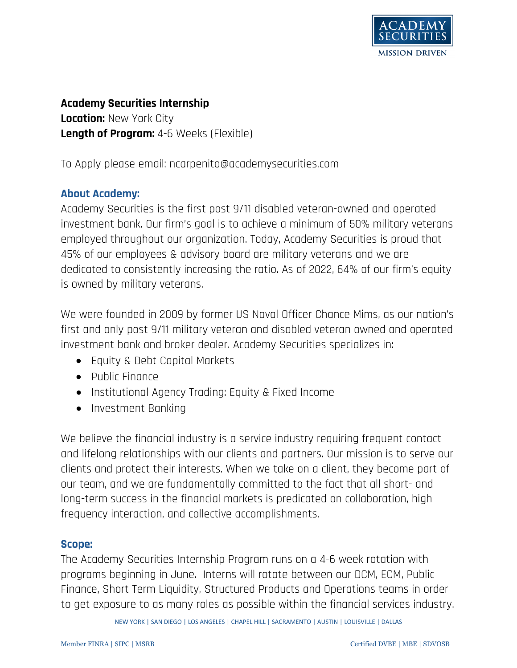

# **Academy Securities Internship Location:** New York City **Length of Program:** 4-6 Weeks (Flexible)

To Apply please email: ncarpenito@academysecurities.com

# **About Academy:**

Academy Securities is the first post 9/11 disabled veteran-owned and operated investment bank. Our firm's goal is to achieve a minimum of 50% military veterans employed throughout our organization. Today, Academy Securities is proud that 45% of our employees & advisory board are military veterans and we are dedicated to consistently increasing the ratio. As of 2022, 64% of our firm's equity is owned by military veterans.

We were founded in 2009 by former US Naval Officer Chance Mims, as our nation's first and only post 9/11 military veteran and disabled veteran owned and operated investment bank and broker dealer. Academy Securities specializes in:

- Equity & Debt Capital Markets
- Public Finance
- Institutional Agency Trading: Equity & Fixed Income
- Investment Banking

We believe the financial industry is a service industry requiring frequent contact and lifelong relationships with our clients and partners. Our mission is to serve our clients and protect their interests. When we take on a client, they become part of our team, and we are fundamentally committed to the fact that all short- and long-term success in the financial markets is predicated on collaboration, high frequency interaction, and collective accomplishments.

#### **Scope:**

The Academy Securities Internship Program runs on a 4-6 week rotation with programs beginning in June. Interns will rotate between our DCM, ECM, Public Finance, Short Term Liquidity, Structured Products and Operations teams in order to get exposure to as many roles as possible within the financial services industry.

NEW YORK | SAN DIEGO | LOS ANGELES | CHAPEL HILL | SACRAMENTO | AUSTIN | LOUISVILLE | DALLAS